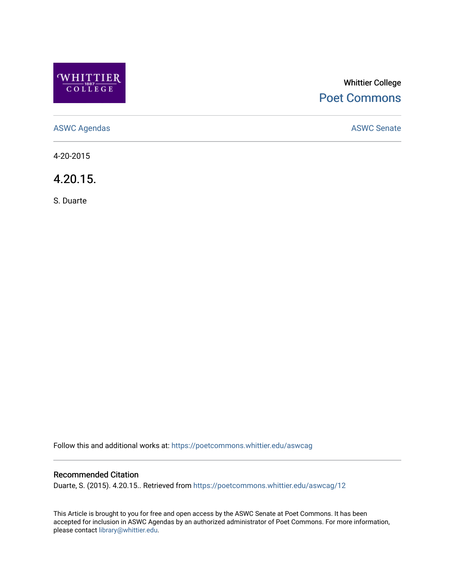

# Whittier College [Poet Commons](https://poetcommons.whittier.edu/)

[ASWC Agendas](https://poetcommons.whittier.edu/aswcag) **ASWC Senate** 

4-20-2015

4.20.15.

S. Duarte

Follow this and additional works at: [https://poetcommons.whittier.edu/aswcag](https://poetcommons.whittier.edu/aswcag?utm_source=poetcommons.whittier.edu%2Faswcag%2F12&utm_medium=PDF&utm_campaign=PDFCoverPages) 

# Recommended Citation

Duarte, S. (2015). 4.20.15.. Retrieved from [https://poetcommons.whittier.edu/aswcag/12](https://poetcommons.whittier.edu/aswcag/12?utm_source=poetcommons.whittier.edu%2Faswcag%2F12&utm_medium=PDF&utm_campaign=PDFCoverPages) 

This Article is brought to you for free and open access by the ASWC Senate at Poet Commons. It has been accepted for inclusion in ASWC Agendas by an authorized administrator of Poet Commons. For more information, please contact [library@whittier.edu](mailto:library@whittier.edu).